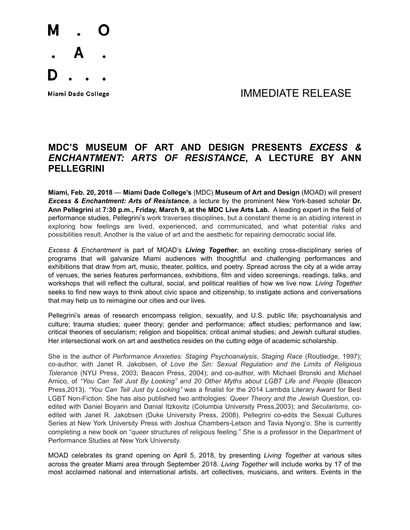

Miami Dade College **All Accords** College and The Manual MMMFDIATE RFI FASE

## **MDC'S MUSEUM OF ART AND DESIGN PRESENTS** *EXCESS & ENCHANTMENT: ARTS OF RESISTANCE***, A LECTURE BY ANN PELLEGRINI**

**Miami, Feb. 20, 2018** — **Miami Dade College's** (MDC) **Museum of Art and Design** (MOAD) will present *Excess & Enchantment: Arts of Resistance*, a lecture by the prominent New York-based scholar **Dr. Ann Pellegrini** at **7:30 p.m., Friday, March 9, at the MDC Live Arts Lab.** A leading expert in the field of performance studies, Pellegrini's work traverses disciplines, but a constant theme is an abiding interest in exploring how feelings are lived, experienced, and communicated, and what potential risks and possibilities result. Another is the value of art and the aesthetic for repairing democratic social life.

*Excess & Enchantment* is part of MOAD's *Living Together*, an exciting cross-disciplinary series of programs that will galvanize Miami audiences with thoughtful and challenging performances and exhibitions that draw from art, music, theater, politics, and poetry. Spread across the city at a wide array of venues, the series features performances, exhibitions, film and video screenings, readings, talks, and workshops that will reflect the cultural, social, and political realities of how we live now. *Living Together* seeks to find new ways to think about civic space and citizenship, to instigate actions and conversations that may help us to reimagine our cities and our lives.

Pellegrini's areas of research encompass religion, sexuality, and U.S. public life; psychoanalysis and culture; trauma studies; queer theory; gender and performance; affect studies; performance and law; critical theories of secularism; religion and biopolitics; critical animal studies; and Jewish cultural studies. Her intersectional work on art and aesthetics resides on the cutting edge of academic scholarship.

She is the author of *Performance Anxieties: Staging Psychoanalysis*, *Staging Race* (Routledge, 1997); co-author, with Janet R. Jakobsen, of *Love the Sin: Sexual Regulation and the Limits of Religious Tolerance* (NYU Press, 2003; Beacon Press, 2004); and co-author, with Michael Bronski and Michael Amico, of *"You Can Tell Just By Looking" and 20 Other Myths about LGBT Life and People* (Beacon Press,2013). *"You Can Tell Just by Looking"* was a finalist for the 2014 Lambda Literary Award for Best LGBT Non-Fiction. She has also published two anthologies: *Queer Theory and the Jewish Question*, coedited with Daniel Boyarin and Danial Itzkovitz (Columbia University Press,2003); and *Secularisms*, coedited with Janet R. Jakobsen (Duke University Press, 2008). Pellegrini co-edits the Sexual Cultures Series at New York University Press with Joshua Chambers-Letson and Tavia Nyong'o. She is currently completing a new book on "queer structures of religious feeling." She is a professor in the Department of Performance Studies at New York University.

MOAD celebrates its grand opening on April 5, 2018, by presenting *Living Together* at various sites across the greater Miami area through September 2018. *Living Together* will include works by 17 of the most acclaimed national and international artists, art collectives, musicians, and writers. Events in the